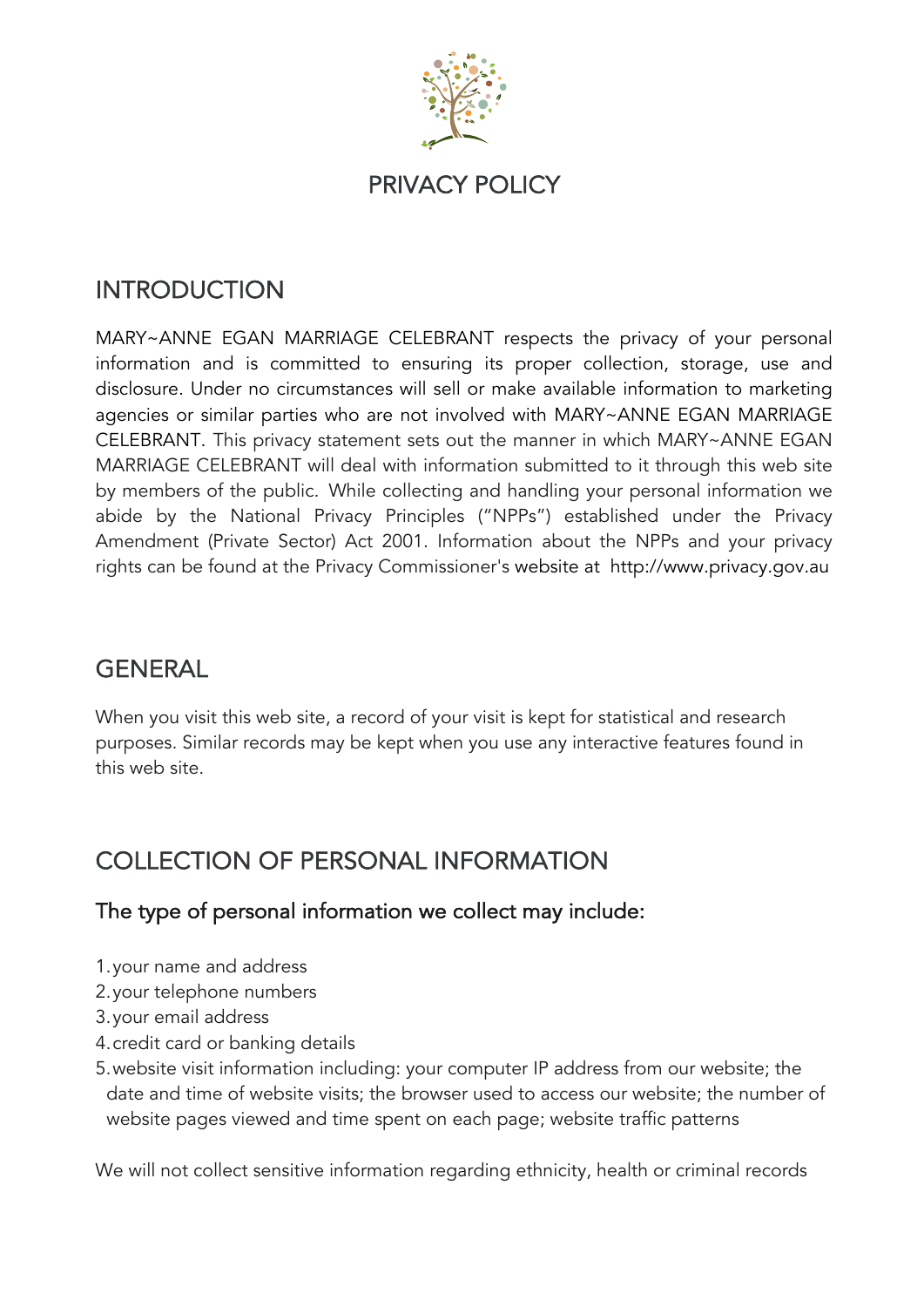

### **INTRODUCTION**

MARY~ANNE EGAN MARRIAGE CELEBRANT respects the privacy of your personal information and is committed to ensuring its proper collection, storage, use and disclosure. Under no circumstances will sell or make available information to marketing agencies or similar parties who are not involved with MARY~ANNE EGAN MARRIAGE CELEBRANT. This privacy statement sets out the manner in which MARY~ANNE EGAN MARRIAGE CELEBRANT will deal with information submitted to it through this web site by members of the public. While collecting and handling your personal information we abide by the National Privacy Principles ("NPPs") established under the Privacy Amendment (Private Sector) Act 2001. Information about the NPPs and your privacy rights can be found at the Privacy Commissioner's website at http://www.privacy.gov.au

# **GENERAL**

When you visit this web site, a record of your visit is kept for statistical and research purposes. Similar records may be kept when you use any interactive features found in this web site.

# COLLECTION OF PERSONAL INFORMATION

#### The type of personal information we collect may include:

- 1.your name and address
- 2.your telephone numbers
- 3.your email address
- 4.credit card or banking details
- 5.website visit information including: your computer IP address from our website; the date and time of website visits; the browser used to access our website; the number of website pages viewed and time spent on each page; website traffic patterns

We will not collect sensitive information regarding ethnicity, health or criminal records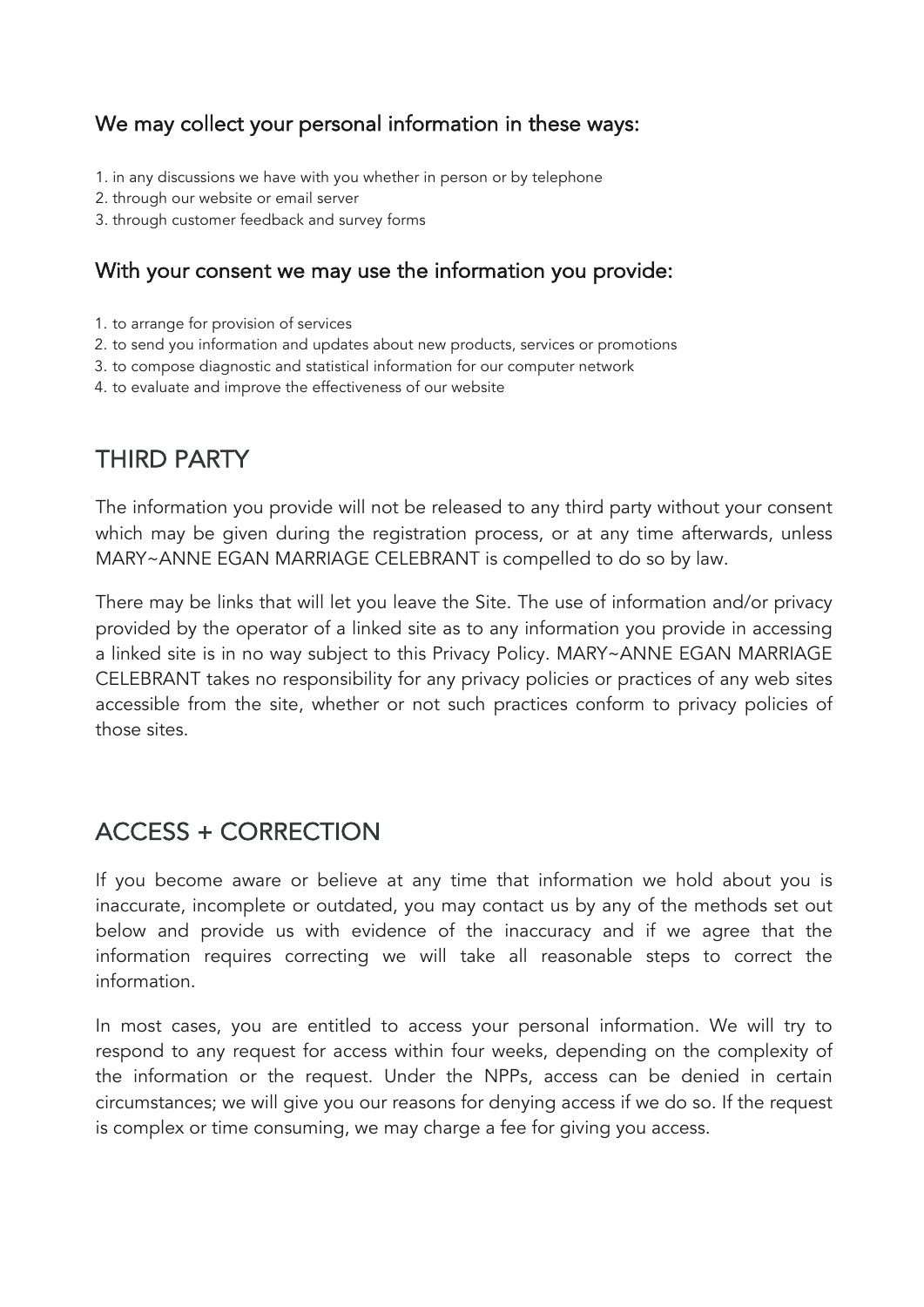#### We may collect your personal information in these ways:

- 1. in any discussions we have with you whether in person or by telephone
- 2. through our website or email server
- 3. through customer feedback and survey forms

#### With your consent we may use the information you provide:

- 1. to arrange for provision of services
- 2. to send you information and updates about new products, services or promotions
- 3. to compose diagnostic and statistical information for our computer network
- 4. to evaluate and improve the effectiveness of our website

## THIRD PARTY

The information you provide will not be released to any third party without your consent which may be given during the registration process, or at any time afterwards, unless MARY~ANNE EGAN MARRIAGE CELEBRANT is compelled to do so by law.

There may be links that will let you leave the Site. The use of information and/or privacy provided by the operator of a linked site as to any information you provide in accessing a linked site is in no way subject to this Privacy Policy. MARY~ANNE EGAN MARRIAGE CELEBRANT takes no responsibility for any privacy policies or practices of any web sites accessible from the site, whether or not such practices conform to privacy policies of those sites.

### ACCESS + CORRECTION

If you become aware or believe at any time that information we hold about you is inaccurate, incomplete or outdated, you may contact us by any of the methods set out below and provide us with evidence of the inaccuracy and if we agree that the information requires correcting we will take all reasonable steps to correct the information.

In most cases, you are entitled to access your personal information. We will try to respond to any request for access within four weeks, depending on the complexity of the information or the request. Under the NPPs, access can be denied in certain circumstances; we will give you our reasons for denying access if we do so. If the request is complex or time consuming, we may charge a fee for giving you access.